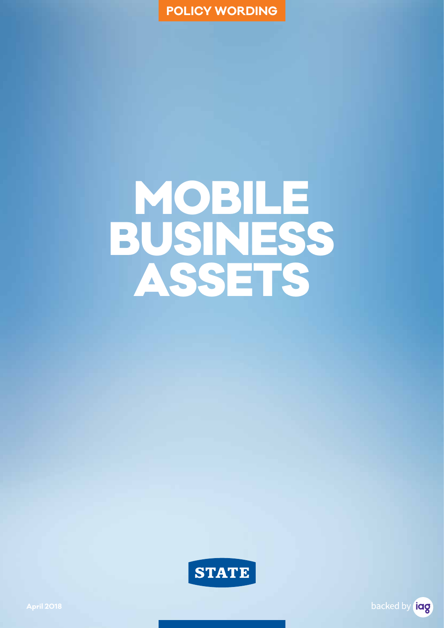

# MOBILE BUSINESS ASSETS



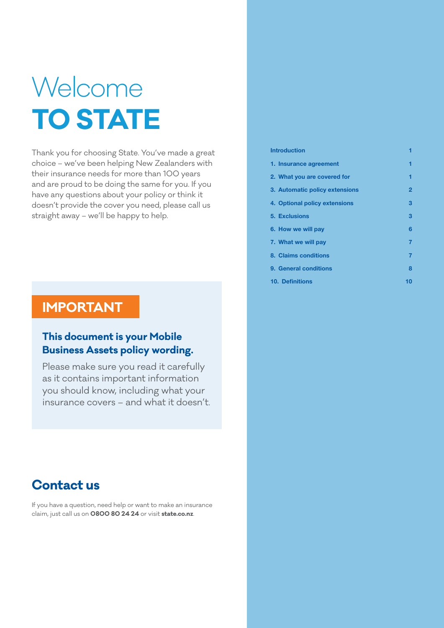## Welcome **TO STATE**

Thank you for choosing State. You've made a great choice – we've been helping New Zealanders with their insurance needs for more than 100 years and are proud to be doing the same for you. If you have any questions about your policy or think it doesn't provide the cover you need, please call us straight away – we'll be happy to help.

#### **IMPORTANT**

#### **This document is your Mobile Business Assets policy wording.**

Please make sure you read it carefully as it contains important information you should know, including what your insurance covers – and what it doesn't.

#### **Contact us**

If you have a question, need help or want to make an insurance claim, just call us on **0800 80 24 24** or visit **state.co.nz**.

| <b>Introduction</b>            |    |
|--------------------------------|----|
| 1. Insurance agreement         | 1  |
| 2. What you are covered for    |    |
| 3. Automatic policy extensions | 2  |
| 4. Optional policy extensions  | з  |
| 5. Exclusions                  | з  |
| 6. How we will pay             | 6  |
| 7. What we will pay            | 7  |
| 8. Claims conditions           | 7  |
| 9. General conditions          | 8  |
| <b>10. Definitions</b>         | 10 |
|                                |    |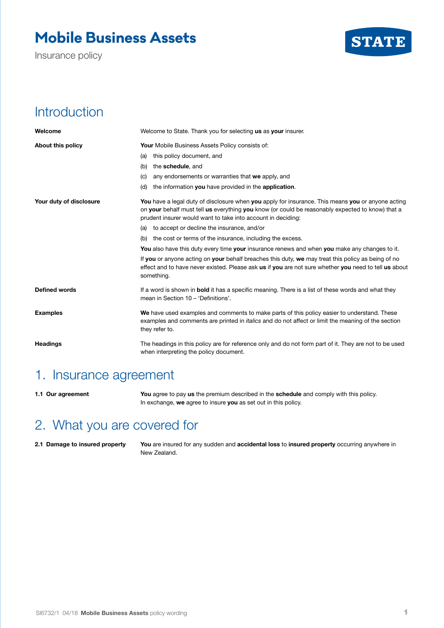## **Mobile Business Assets**

Insurance policy



#### **Introduction**

| Welcome                 | Welcome to State. Thank you for selecting us as your insurer.                                                                                                                                                                                                         |
|-------------------------|-----------------------------------------------------------------------------------------------------------------------------------------------------------------------------------------------------------------------------------------------------------------------|
| About this policy       | Your Mobile Business Assets Policy consists of:                                                                                                                                                                                                                       |
|                         | this policy document, and<br>(a)                                                                                                                                                                                                                                      |
|                         | the schedule, and<br>(b)                                                                                                                                                                                                                                              |
|                         | any endorsements or warranties that we apply, and<br>(C)                                                                                                                                                                                                              |
|                         | the information you have provided in the application.<br>(d)                                                                                                                                                                                                          |
| Your duty of disclosure | You have a legal duty of disclosure when you apply for insurance. This means you or anyone acting<br>on your behalf must tell us everything you know (or could be reasonably expected to know) that a<br>prudent insurer would want to take into account in deciding: |
|                         | (a) to accept or decline the insurance, and/or                                                                                                                                                                                                                        |
|                         | (b) the cost or terms of the insurance, including the excess.                                                                                                                                                                                                         |
|                         | You also have this duty every time your insurance renews and when you make any changes to it.                                                                                                                                                                         |
|                         | If you or anyone acting on your behalf breaches this duty, we may treat this policy as being of no<br>effect and to have never existed. Please ask us if you are not sure whether you need to tell us about<br>something.                                             |
| Defined words           | If a word is shown in <b>bold</b> it has a specific meaning. There is a list of these words and what they<br>mean in Section 10 - 'Definitions'.                                                                                                                      |
| <b>Examples</b>         | We have used examples and comments to make parts of this policy easier to understand. These<br>examples and comments are printed in <i>italics</i> and do not affect or limit the meaning of the section<br>they refer to.                                            |
| <b>Headings</b>         | The headings in this policy are for reference only and do not form part of it. They are not to be used<br>when interpreting the policy document.                                                                                                                      |

#### 1. Insurance agreement

**1.1 Our agreement You** agree to pay **us** the premium described in the **schedule** and comply with this policy. In exchange, **we** agree to insure **you** as set out in this policy.

### 2. What you are covered for

**2.1 Damage to insured property You** are insured for any sudden and **accidental loss** to **insured property** occurring anywhere in New Zealand.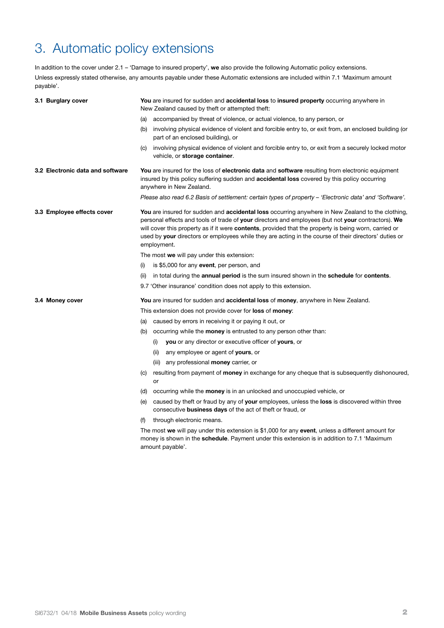## 3. Automatic policy extensions

In addition to the cover under 2.1 – 'Damage to insured property', **we** also provide the following Automatic policy extensions. Unless expressly stated otherwise, any amounts payable under these Automatic extensions are included within 7.1 'Maximum amount payable'.

| 3.1 Burglary cover               | You are insured for sudden and accidental loss to insured property occurring anywhere in<br>New Zealand caused by theft or attempted theft:                                                                                                                                                                                                                                                                                                                    |
|----------------------------------|----------------------------------------------------------------------------------------------------------------------------------------------------------------------------------------------------------------------------------------------------------------------------------------------------------------------------------------------------------------------------------------------------------------------------------------------------------------|
|                                  | (a) accompanied by threat of violence, or actual violence, to any person, or                                                                                                                                                                                                                                                                                                                                                                                   |
|                                  | involving physical evidence of violent and forcible entry to, or exit from, an enclosed building (or<br>(b)<br>part of an enclosed building), or                                                                                                                                                                                                                                                                                                               |
|                                  | involving physical evidence of violent and forcible entry to, or exit from a securely locked motor<br>(C)<br>vehicle, or storage container.                                                                                                                                                                                                                                                                                                                    |
| 3.2 Electronic data and software | You are insured for the loss of electronic data and software resulting from electronic equipment<br>insured by this policy suffering sudden and <b>accidental loss</b> covered by this policy occurring<br>anywhere in New Zealand.                                                                                                                                                                                                                            |
|                                  | Please also read 6.2 Basis of settlement: certain types of property – 'Electronic data' and 'Software'.                                                                                                                                                                                                                                                                                                                                                        |
| 3.3 Employee effects cover       | <b>You</b> are insured for sudden and <b>accidental loss</b> occurring anywhere in New Zealand to the clothing,<br>personal effects and tools of trade of your directors and employees (but not your contractors). We<br>will cover this property as if it were <b>contents</b> , provided that the property is being worn, carried or<br>used by your directors or employees while they are acting in the course of their directors' duties or<br>employment. |
|                                  | The most we will pay under this extension:                                                                                                                                                                                                                                                                                                                                                                                                                     |
|                                  | is \$5,000 for any event, per person, and<br>(i)                                                                                                                                                                                                                                                                                                                                                                                                               |
|                                  | in total during the <b>annual period</b> is the sum insured shown in the <b>schedule</b> for <b>contents</b> .<br>(ii)                                                                                                                                                                                                                                                                                                                                         |
|                                  | 9.7 Other insurance' condition does not apply to this extension.                                                                                                                                                                                                                                                                                                                                                                                               |
| 3.4 Money cover                  | <b>You</b> are insured for sudden and <b>accidental loss</b> of <b>money</b> , anywhere in New Zealand.                                                                                                                                                                                                                                                                                                                                                        |
|                                  | This extension does not provide cover for <b>loss</b> of <b>money</b> :                                                                                                                                                                                                                                                                                                                                                                                        |
|                                  | (a) caused by errors in receiving it or paying it out, or                                                                                                                                                                                                                                                                                                                                                                                                      |
|                                  | occurring while the <b>money</b> is entrusted to any person other than:<br>(b)                                                                                                                                                                                                                                                                                                                                                                                 |
|                                  | you or any director or executive officer of yours, or<br>(i)                                                                                                                                                                                                                                                                                                                                                                                                   |
|                                  | any employee or agent of yours, or<br>(ii)                                                                                                                                                                                                                                                                                                                                                                                                                     |
|                                  | (iii) any professional <b>money</b> carrier, or                                                                                                                                                                                                                                                                                                                                                                                                                |
|                                  | resulting from payment of <b>money</b> in exchange for any cheque that is subsequently dishonoured,<br>(C)<br>or                                                                                                                                                                                                                                                                                                                                               |
|                                  | (d) occurring while the <b>money</b> is in an unlocked and unoccupied vehicle, or                                                                                                                                                                                                                                                                                                                                                                              |
|                                  | caused by theft or fraud by any of your employees, unless the loss is discovered within three<br>(e)<br>consecutive business days of the act of theft or fraud, or                                                                                                                                                                                                                                                                                             |
|                                  | through electronic means.<br>(f)                                                                                                                                                                                                                                                                                                                                                                                                                               |
|                                  | The most we will pay under this extension is \$1,000 for any event, unless a different amount for<br>money is shown in the <b>schedule</b> . Payment under this extension is in addition to 7.1 'Maximum<br>amount payable'.                                                                                                                                                                                                                                   |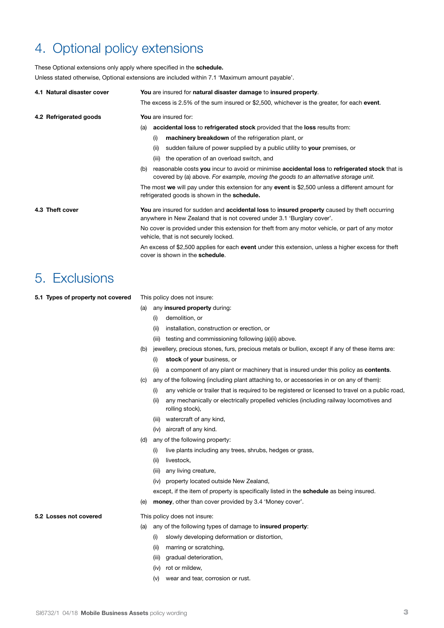#### 4. Optional policy extensions

These Optional extensions only apply where specified in the **schedule.**

Unless stated otherwise, Optional extensions are included within 7.1 'Maximum amount payable'.

| 4.1 Natural disaster cover | You are insured for natural disaster damage to insured property.                                                                                                                            |
|----------------------------|---------------------------------------------------------------------------------------------------------------------------------------------------------------------------------------------|
|                            | The excess is 2.5% of the sum insured or \$2,500, whichever is the greater, for each event.                                                                                                 |
| 4.2 Refrigerated goods     | You are insured for:                                                                                                                                                                        |
|                            | accidental loss to refrigerated stock provided that the loss results from:<br>(a)                                                                                                           |
|                            | machinery breakdown of the refrigeration plant, or<br>(i)                                                                                                                                   |
|                            | sudden failure of power supplied by a public utility to your premises, or<br>(ii)                                                                                                           |
|                            | the operation of an overload switch, and<br>(iii)                                                                                                                                           |
|                            | reasonable costs you incur to avoid or minimise accidental loss to refrigerated stock that is<br>(b)<br>covered by (a) above. For example, moving the goods to an alternative storage unit. |
|                            | The most we will pay under this extension for any event is \$2,500 unless a different amount for<br>refrigerated goods is shown in the schedule.                                            |
| 4.3 Theft cover            | You are insured for sudden and accidental loss to insured property caused by theft occurring<br>anywhere in New Zealand that is not covered under 3.1 'Burglary cover'.                     |
|                            | No cover is provided under this extension for theft from any motor vehicle, or part of any motor<br>vehicle, that is not securely locked.                                                   |
|                            | An excess of \$2,500 applies for each event under this extension, unless a higher excess for theft<br>cover is shown in the schedule.                                                       |
|                            |                                                                                                                                                                                             |

#### 5. Exclusions

**5.1 Types of property not covered** This policy does not insure:

- (a) any **insured property** during:
	- (i) demolition, or
	- (ii) installation, construction or erection, or
	- (iii) testing and commissioning following (a)(ii) above.
- (b) jewellery, precious stones, furs, precious metals or bullion, except if any of these items are:
	- (i) **stock** of **your** business, or
	- (ii) a component of any plant or machinery that is insured under this policy as **contents**.
- (c) any of the following (including plant attaching to, or accessories in or on any of them):
	- (i) any vehicle or trailer that is required to be registered or licensed to travel on a public road,
	- (ii) any mechanically or electrically propelled vehicles (including railway locomotives and rolling stock),
	- (iii) watercraft of any kind,
	- (iv) aircraft of any kind.
- (d) any of the following property:
	- (i) live plants including any trees, shrubs, hedges or grass,
	- (ii) livestock,
	- (iii) any living creature,
	- (iv) property located outside New Zealand,

except, if the item of property is specifically listed in the **schedule** as being insured.

(e) **money**, other than cover provided by 3.4 'Money cover'.

#### **5.2 Losses not covered** This policy does not insure:

- (a) any of the following types of damage to **insured property**:
	- (i) slowly developing deformation or distortion,
	- (ii) marring or scratching,
	- (iii) gradual deterioration,
	- (iv) rot or mildew,
	- (v) wear and tear, corrosion or rust.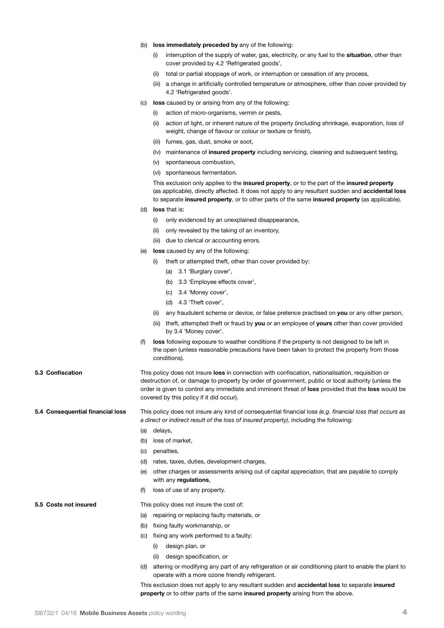- (b) **loss immediately preceded by** any of the following:
	- (i) interruption of the supply of water, gas, electricity, or any fuel to the **situation**, other than cover provided by 4.2 'Refrigerated goods',
	- (ii) total or partial stoppage of work, or interruption or cessation of any process,
	- (iii) a change in artificially controlled temperature or atmosphere, other than cover provided by 4.2 'Refrigerated goods'.
- (c) **loss** caused by or arising from any of the following:
	- (i) action of micro-organisms, vermin or pests,
	- (ii) action of light, or inherent nature of the property (including shrinkage, evaporation, loss of weight, change of flavour or colour or texture or finish),
	- (iii) fumes, gas, dust, smoke or soot,
	- (iv) maintenance of **insured property** including servicing, cleaning and subsequent testing,
	- (v) spontaneous combustion,
	- (vi) spontaneous fermentation.

This exclusion only applies to the **insured property**, or to the part of the **insured property** (as applicable), directly affected. It does not apply to any resultant sudden and **accidental loss**  to separate **insured property**, or to other parts of the same **insured property** (as applicable).

- (d) **loss** that is:
	- (i) only evidenced by an unexplained disappearance,
	- (ii) only revealed by the taking of an inventory,
	- (iii) due to clerical or accounting errors.
- (e) **loss** caused by any of the following:
	- (i) theft or attempted theft, other than cover provided by:
		- (a) 3.1 'Burglary cover',
		- (b) 3.3 'Employee effects cover',
		- (c) 3.4 'Money cover',
		- (d) 4.3 'Theft cover',
	- (ii) any fraudulent scheme or device, or false pretence practised on **you** or any other person,
	- (iii) theft, attempted theft or fraud by **you** or an employee of **yours** other than cover provided by 3.4 'Money cover'.
- (f) **loss** following exposure to weather conditions if the property is not designed to be left in the open (unless reasonable precautions have been taken to protect the property from those conditions).

**5.3 Confiscation** This policy does not insure **loss** in connection with confiscation, nationalisation, requisition or destruction of, or damage to property by order of government, public or local authority (unless the order is given to control any immediate and imminent threat of **loss** provided that the **loss** would be covered by this policy if it did occur).

**5.4 Consequential financial loss** This policy does not insure any kind of consequential financial loss *(e.g. financial loss that occurs as a direct or indirect result of the loss of insured property)*, including the following:

- (a) delays,
- (b) loss of market,
- (c) penalties,
- (d) rates, taxes, duties, development charges,
- (e) other charges or assessments arising out of capital appreciation, that are payable to comply with any **regulations**,
- (f) loss of use of any property.

**5.5 Costs not insured** This policy does not insure the cost of:

- (a) repairing or replacing faulty materials, or
- (b) fixing faulty workmanship, or
- (c) fixing any work performed to a faulty:
	- (i) design plan, or
	- (ii) design specification, or
- (d) altering or modifying any part of any refrigeration or air conditioning plant to enable the plant to operate with a more ozone friendly refrigerant.

This exclusion does not apply to any resultant sudden and **accidental loss** to separate **insured property** or to other parts of the same **insured property** arising from the above.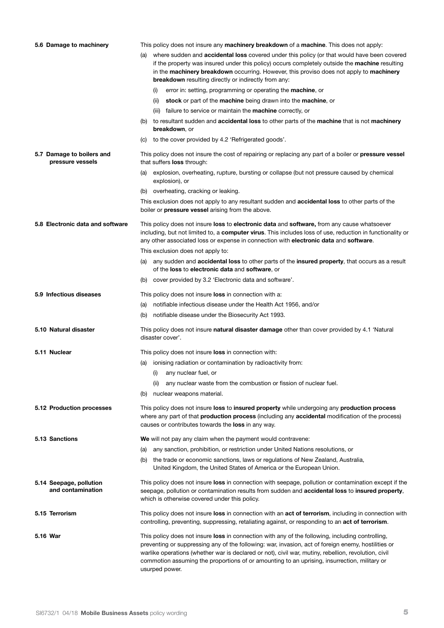| 5.6 Damage to machinery                       |     | This policy does not insure any <b>machinery breakdown</b> of a <b>machine</b> . This does not apply:                                                                                                                                                                                                                                                                                                                                 |
|-----------------------------------------------|-----|---------------------------------------------------------------------------------------------------------------------------------------------------------------------------------------------------------------------------------------------------------------------------------------------------------------------------------------------------------------------------------------------------------------------------------------|
|                                               | (a) | where sudden and accidental loss covered under this policy (or that would have been covered<br>if the property was insured under this policy) occurs completely outside the <b>machine</b> resulting<br>in the machinery breakdown occurring. However, this proviso does not apply to machinery<br>breakdown resulting directly or indirectly from any:<br>error in: setting, programming or operating the <b>machine</b> , or<br>(i) |
|                                               |     | stock or part of the machine being drawn into the machine, or<br>(ii)                                                                                                                                                                                                                                                                                                                                                                 |
|                                               |     | (iii) failure to service or maintain the <b>machine</b> correctly, or                                                                                                                                                                                                                                                                                                                                                                 |
|                                               |     | to resultant sudden and accidental loss to other parts of the machine that is not machinery                                                                                                                                                                                                                                                                                                                                           |
|                                               |     | <b>breakdown</b> , or                                                                                                                                                                                                                                                                                                                                                                                                                 |
|                                               | (C) | to the cover provided by 4.2 'Refrigerated goods'.                                                                                                                                                                                                                                                                                                                                                                                    |
| 5.7 Damage to boilers and<br>pressure vessels |     | This policy does not insure the cost of repairing or replacing any part of a boiler or <b>pressure vessel</b><br>that suffers <b>loss</b> through:                                                                                                                                                                                                                                                                                    |
|                                               | (a) | explosion, overheating, rupture, bursting or collapse (but not pressure caused by chemical<br>explosion), or                                                                                                                                                                                                                                                                                                                          |
|                                               | (b) | overheating, cracking or leaking.                                                                                                                                                                                                                                                                                                                                                                                                     |
|                                               |     | This exclusion does not apply to any resultant sudden and <b>accidental loss</b> to other parts of the<br>boiler or pressure vessel arising from the above.                                                                                                                                                                                                                                                                           |
| 5.8 Electronic data and software              |     | This policy does not insure <b>loss</b> to <b>electronic data</b> and <b>software</b> , from any cause whatsoever<br>including, but not limited to, a computer virus. This includes loss of use, reduction in functionality or<br>any other associated loss or expense in connection with electronic data and software.                                                                                                               |
|                                               |     | This exclusion does not apply to:                                                                                                                                                                                                                                                                                                                                                                                                     |
|                                               | (a) | any sudden and accidental loss to other parts of the insured property, that occurs as a result<br>of the loss to electronic data and software, or                                                                                                                                                                                                                                                                                     |
|                                               | (b) | cover provided by 3.2 'Electronic data and software'.                                                                                                                                                                                                                                                                                                                                                                                 |
| 5.9 Infectious diseases                       |     | This policy does not insure <b>loss</b> in connection with a:                                                                                                                                                                                                                                                                                                                                                                         |
|                                               | (a) | notifiable infectious disease under the Health Act 1956, and/or                                                                                                                                                                                                                                                                                                                                                                       |
|                                               | (b) | notifiable disease under the Biosecurity Act 1993.                                                                                                                                                                                                                                                                                                                                                                                    |
| 5.10 Natural disaster                         |     | This policy does not insure <b>natural disaster damage</b> other than cover provided by 4.1 'Natural<br>disaster cover'.                                                                                                                                                                                                                                                                                                              |
| 5.11 Nuclear                                  |     | This policy does not insure <b>loss</b> in connection with:                                                                                                                                                                                                                                                                                                                                                                           |
|                                               | (a) | ionising radiation or contamination by radioactivity from:                                                                                                                                                                                                                                                                                                                                                                            |
|                                               |     | (i) any nuclear fuel, or                                                                                                                                                                                                                                                                                                                                                                                                              |
|                                               |     | any nuclear waste from the combustion or fission of nuclear fuel.<br>(ii)                                                                                                                                                                                                                                                                                                                                                             |
|                                               | (b) | nuclear weapons material.                                                                                                                                                                                                                                                                                                                                                                                                             |
| 5.12 Production processes                     |     | This policy does not insure loss to insured property while undergoing any production process<br>where any part of that <b>production process</b> (including any <b>accidental</b> modification of the process)<br>causes or contributes towards the <b>loss</b> in any way.                                                                                                                                                           |
| 5.13 Sanctions                                |     | We will not pay any claim when the payment would contravene:                                                                                                                                                                                                                                                                                                                                                                          |
|                                               | (a) | any sanction, prohibition, or restriction under United Nations resolutions, or                                                                                                                                                                                                                                                                                                                                                        |
|                                               |     | (b) the trade or economic sanctions, laws or regulations of New Zealand, Australia,<br>United Kingdom, the United States of America or the European Union.                                                                                                                                                                                                                                                                            |
| 5.14 Seepage, pollution<br>and contamination  |     | This policy does not insure loss in connection with seepage, pollution or contamination except if the<br>seepage, pollution or contamination results from sudden and accidental loss to insured property,<br>which is otherwise covered under this policy.                                                                                                                                                                            |
| 5.15 Terrorism                                |     | This policy does not insure loss in connection with an act of terrorism, including in connection with<br>controlling, preventing, suppressing, retaliating against, or responding to an act of terrorism.                                                                                                                                                                                                                             |
| 5.16 War                                      |     | This policy does not insure loss in connection with any of the following, including controlling,<br>preventing or suppressing any of the following: war, invasion, act of foreign enemy, hostilities or<br>warlike operations (whether war is declared or not), civil war, mutiny, rebellion, revolution, civil<br>commotion assuming the proportions of or amounting to an uprising, insurrection, military or<br>usurped power.     |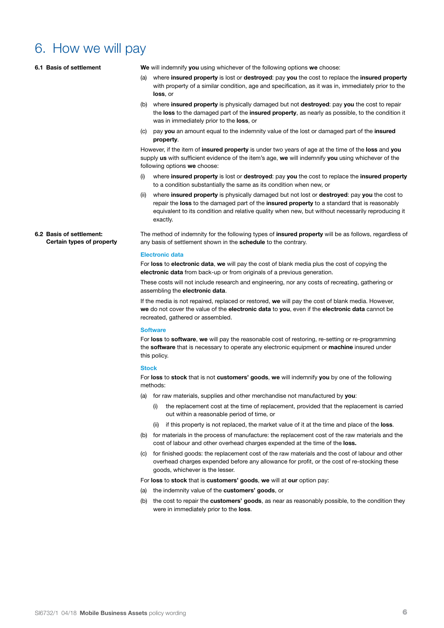#### 6. How we will pay

**6.2 Basis of settlement:** 

**Certain types of property**

| 6.1 Basis of settlement | We will indemnify you using whichever of the following options we choose:                                                                                                                                                                                                                                                           |
|-------------------------|-------------------------------------------------------------------------------------------------------------------------------------------------------------------------------------------------------------------------------------------------------------------------------------------------------------------------------------|
|                         | where insured property is lost or destroyed: pay you the cost to replace the insured property<br>(a)<br>with property of a similar condition, age and specification, as it was in, immediately prior to the<br>loss, or                                                                                                             |
|                         | where insured property is physically damaged but not destroyed: pay you the cost to repair<br>(b)<br>the loss to the damaged part of the insured property, as nearly as possible, to the condition it<br>was in immediately prior to the <b>loss</b> , or                                                                           |
|                         | pay you an amount equal to the indemnity value of the lost or damaged part of the insured<br>(C)<br>property.                                                                                                                                                                                                                       |
|                         | However, if the item of <b>insured property</b> is under two years of age at the time of the <b>loss</b> and you<br>supply us with sufficient evidence of the item's age, we will indemnify you using whichever of the<br>following options we choose:                                                                              |
|                         | where insured property is lost or destroyed: pay you the cost to replace the insured property<br>(i)<br>to a condition substantially the same as its condition when new, or                                                                                                                                                         |
|                         | where <b>insured property</b> is physically damaged but not lost or <b>destroyed</b> : pay you the cost to<br>(ii)<br>repair the loss to the damaged part of the insured property to a standard that is reasonably<br>equivalent to its condition and relative quality when new, but without necessarily reproducing it<br>exactly. |

The method of indemnity for the following types of **insured property** will be as follows, regardless of any basis of settlement shown in the **schedule** to the contrary.

#### **Electronic data**

For **loss** to **electronic data**, **we** will pay the cost of blank media plus the cost of copying the **electronic data** from back-up or from originals of a previous generation.

These costs will not include research and engineering, nor any costs of recreating, gathering or assembling the **electronic data**.

If the media is not repaired, replaced or restored, **we** will pay the cost of blank media. However, **we** do not cover the value of the **electronic data** to **you**, even if the **electronic data** cannot be recreated, gathered or assembled.

#### **Software**

For **loss** to **software**, **we** will pay the reasonable cost of restoring, re-setting or re-programming the **software** that is necessary to operate any electronic equipment or **machine** insured under this policy.

#### **Stock**

For **loss** to **stock** that is not **customers' goods**, **we** will indemnify **you** by one of the following methods:

- (a) for raw materials, supplies and other merchandise not manufactured by **you**:
	- (i) the replacement cost at the time of replacement, provided that the replacement is carried out within a reasonable period of time, or
	- (ii) if this property is not replaced, the market value of it at the time and place of the **loss**.
- (b) for materials in the process of manufacture: the replacement cost of the raw materials and the cost of labour and other overhead charges expended at the time of the **loss.**
- (c) for finished goods: the replacement cost of the raw materials and the cost of labour and other overhead charges expended before any allowance for profit, or the cost of re-stocking these goods, whichever is the lesser.

For **loss** to **stock** that is **customers' goods**, **we** will at **our** option pay:

- (a) the indemnity value of the **customers' goods**, or
- (b) the cost to repair the **customers' goods**, as near as reasonably possible, to the condition they were in immediately prior to the **loss**.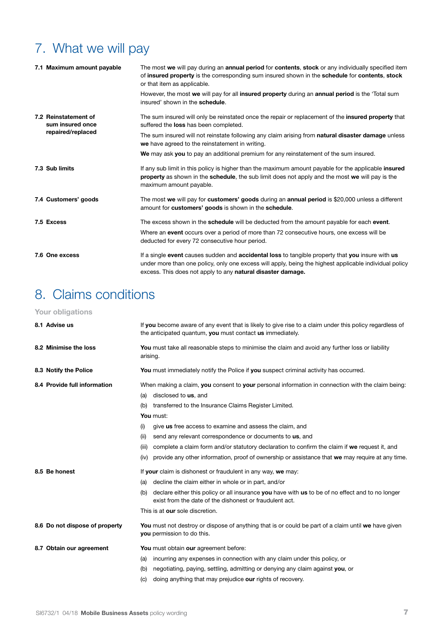## 7. What we will pay

|  | 7.1 Maximum amount payable               | The most we will pay during an annual period for contents, stock or any individually specified item<br>of insured property is the corresponding sum insured shown in the schedule for contents, stock<br>or that item as applicable.                                      |
|--|------------------------------------------|---------------------------------------------------------------------------------------------------------------------------------------------------------------------------------------------------------------------------------------------------------------------------|
|  |                                          | However, the most we will pay for all insured property during an annual period is the 'Total sum<br>insured' shown in the schedule.                                                                                                                                       |
|  | 7.2 Reinstatement of<br>sum insured once | The sum insured will only be reinstated once the repair or replacement of the <b>insured property</b> that<br>suffered the loss has been completed.                                                                                                                       |
|  | repaired/replaced                        | The sum insured will not reinstate following any claim arising from <b>natural disaster damage</b> unless<br>we have agreed to the reinstatement in writing.                                                                                                              |
|  |                                          | We may ask you to pay an additional premium for any reinstatement of the sum insured.                                                                                                                                                                                     |
|  | 7.3 Sub limits                           | If any sub limit in this policy is higher than the maximum amount payable for the applicable insured<br>property as shown in the schedule, the sub limit does not apply and the most we will pay is the<br>maximum amount payable.                                        |
|  | 7.4 Customers' goods                     | The most we will pay for customers' goods during an annual period is \$20,000 unless a different<br>amount for <b>customers' goods</b> is shown in the <b>schedule</b> .                                                                                                  |
|  | 7.5 Excess                               | The excess shown in the <b>schedule</b> will be deducted from the amount payable for each <b>event</b> .                                                                                                                                                                  |
|  |                                          | Where an <b>event</b> occurs over a period of more than 72 consecutive hours, one excess will be<br>deducted for every 72 consecutive hour period.                                                                                                                        |
|  | 7.6 One excess                           | If a single event causes sudden and accidental loss to tangible property that you insure with us<br>under more than one policy, only one excess will apply, being the highest applicable individual policy<br>excess. This does not apply to any natural disaster damage. |

## 8. Claims conditions

| Your obligations               |                                                                                                                                                                                                                                                                                                                                                                                                                                                                                                                                                                            |
|--------------------------------|----------------------------------------------------------------------------------------------------------------------------------------------------------------------------------------------------------------------------------------------------------------------------------------------------------------------------------------------------------------------------------------------------------------------------------------------------------------------------------------------------------------------------------------------------------------------------|
| 8.1 Advise us                  | If you become aware of any event that is likely to give rise to a claim under this policy regardless of<br>the anticipated quantum, you must contact us immediately.                                                                                                                                                                                                                                                                                                                                                                                                       |
| 8.2 Minimise the loss          | You must take all reasonable steps to minimise the claim and avoid any further loss or liability<br>arising.                                                                                                                                                                                                                                                                                                                                                                                                                                                               |
| 8.3 Notify the Police          | You must immediately notify the Police if you suspect criminal activity has occurred.                                                                                                                                                                                                                                                                                                                                                                                                                                                                                      |
| 8.4 Provide full information   | When making a claim, you consent to your personal information in connection with the claim being:<br>disclosed to us, and<br>(a)<br>transferred to the Insurance Claims Register Limited.<br>(b)<br>You must:<br>give us free access to examine and assess the claim, and<br>(i)<br>send any relevant correspondence or documents to us, and<br>(ii)<br>complete a claim form and/or statutory declaration to confirm the claim if we request it, and<br>(iii)<br>provide any other information, proof of ownership or assistance that we may require at any time.<br>(iv) |
| 8.5 Be honest                  | If your claim is dishonest or fraudulent in any way, we may:<br>decline the claim either in whole or in part, and/or<br>(a)<br>declare either this policy or all insurance you have with us to be of no effect and to no longer<br>(b)<br>exist from the date of the dishonest or fraudulent act.<br>This is at our sole discretion.                                                                                                                                                                                                                                       |
| 8.6 Do not dispose of property | You must not destroy or dispose of anything that is or could be part of a claim until we have given<br>you permission to do this.                                                                                                                                                                                                                                                                                                                                                                                                                                          |
| 8.7 Obtain our agreement       | You must obtain our agreement before:<br>incurring any expenses in connection with any claim under this policy, or<br>(a)<br>negotiating, paying, settling, admitting or denying any claim against you, or<br>(b)<br>doing anything that may prejudice our rights of recovery.<br>(C)                                                                                                                                                                                                                                                                                      |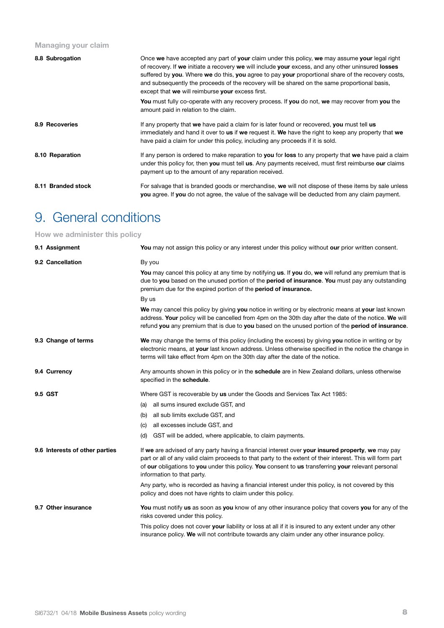#### **Managing your claim**

| 8.8 Subrogation    | Once we have accepted any part of your claim under this policy, we may assume your legal right<br>of recovery. If we initiate a recovery we will include your excess, and any other uninsured losses<br>suffered by you. Where we do this, you agree to pay your proportional share of the recovery costs,<br>and subsequently the proceeds of the recovery will be shared on the same proportional basis,<br>except that we will reimburse your excess first. |
|--------------------|----------------------------------------------------------------------------------------------------------------------------------------------------------------------------------------------------------------------------------------------------------------------------------------------------------------------------------------------------------------------------------------------------------------------------------------------------------------|
|                    | <b>You</b> must fully co-operate with any recovery process. If you do not, we may recover from you the<br>amount paid in relation to the claim.                                                                                                                                                                                                                                                                                                                |
| 8.9 Recoveries     | If any property that we have paid a claim for is later found or recovered, you must tell us<br>immediately and hand it over to <b>us</b> if we request it. We have the right to keep any property that we<br>have paid a claim for under this policy, including any proceeds if it is sold.                                                                                                                                                                    |
| 8.10 Reparation    | If any person is ordered to make reparation to you for loss to any property that we have paid a claim<br>under this policy for, then you must tell us. Any payments received, must first reimburse our claims<br>payment up to the amount of any reparation received.                                                                                                                                                                                          |
| 8.11 Branded stock | For salvage that is branded goods or merchandise, we will not dispose of these items by sale unless<br>you agree. If you do not agree, the value of the salvage will be deducted from any claim payment.                                                                                                                                                                                                                                                       |

#### 9. General conditions

#### **How we administer this policy**

| 9.1 Assignment                 | You may not assign this policy or any interest under this policy without our prior written consent.                                                                                                                                                                                                                                                 |
|--------------------------------|-----------------------------------------------------------------------------------------------------------------------------------------------------------------------------------------------------------------------------------------------------------------------------------------------------------------------------------------------------|
| 9.2 Cancellation               | By you<br>You may cancel this policy at any time by notifying us. If you do, we will refund any premium that is<br>due to you based on the unused portion of the period of insurance. You must pay any outstanding                                                                                                                                  |
|                                | premium due for the expired portion of the <b>period of insurance.</b>                                                                                                                                                                                                                                                                              |
|                                | By us                                                                                                                                                                                                                                                                                                                                               |
|                                | We may cancel this policy by giving you notice in writing or by electronic means at your last known<br>address. Your policy will be cancelled from 4pm on the 30th day after the date of the notice. We will<br>refund you any premium that is due to you based on the unused portion of the period of insurance.                                   |
|                                |                                                                                                                                                                                                                                                                                                                                                     |
| 9.3 Change of terms            | We may change the terms of this policy (including the excess) by giving you notice in writing or by<br>electronic means, at your last known address. Unless otherwise specified in the notice the change in<br>terms will take effect from 4pm on the 30th day after the date of the notice.                                                        |
| 9.4 Currency                   | Any amounts shown in this policy or in the <b>schedule</b> are in New Zealand dollars, unless otherwise<br>specified in the schedule.                                                                                                                                                                                                               |
| 9.5 GST                        | Where GST is recoverable by us under the Goods and Services Tax Act 1985:                                                                                                                                                                                                                                                                           |
|                                | (a) all sums insured exclude GST, and                                                                                                                                                                                                                                                                                                               |
|                                | (b) all sub limits exclude GST, and                                                                                                                                                                                                                                                                                                                 |
|                                | (c) all excesses include GST, and                                                                                                                                                                                                                                                                                                                   |
|                                | GST will be added, where applicable, to claim payments.<br>(d)                                                                                                                                                                                                                                                                                      |
| 9.6 Interests of other parties | If we are advised of any party having a financial interest over your insured property, we may pay<br>part or all of any valid claim proceeds to that party to the extent of their interest. This will form part<br>of our obligations to you under this policy. You consent to us transferring your relevant personal<br>information to that party. |
|                                | Any party, who is recorded as having a financial interest under this policy, is not covered by this<br>policy and does not have rights to claim under this policy.                                                                                                                                                                                  |
| 9.7 Other insurance            | You must notify us as soon as you know of any other insurance policy that covers you for any of the<br>risks covered under this policy.                                                                                                                                                                                                             |
|                                | This policy does not cover your liability or loss at all if it is insured to any extent under any other<br>insurance policy. We will not contribute towards any claim under any other insurance policy.                                                                                                                                             |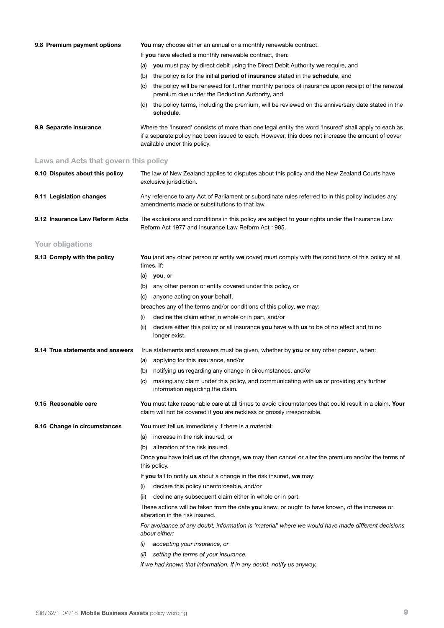| 9.8 Premium payment options           | <b>You</b> may choose either an annual or a monthly renewable contract.                                                                                                                                                                   |
|---------------------------------------|-------------------------------------------------------------------------------------------------------------------------------------------------------------------------------------------------------------------------------------------|
|                                       | If you have elected a monthly renewable contract, then:                                                                                                                                                                                   |
|                                       | (a) you must pay by direct debit using the Direct Debit Authority we require, and                                                                                                                                                         |
|                                       | the policy is for the initial <b>period of insurance</b> stated in the <b>schedule</b> , and<br>(b)                                                                                                                                       |
|                                       | the policy will be renewed for further monthly periods of insurance upon receipt of the renewal<br>(C)<br>premium due under the Deduction Authority, and                                                                                  |
|                                       | the policy terms, including the premium, will be reviewed on the anniversary date stated in the<br>(d)<br>schedule.                                                                                                                       |
| 9.9 Separate insurance                | Where the 'Insured' consists of more than one legal entity the word 'Insured' shall apply to each as<br>if a separate policy had been issued to each. However, this does not increase the amount of cover<br>available under this policy. |
| Laws and Acts that govern this policy |                                                                                                                                                                                                                                           |
| 9.10 Disputes about this policy       | The law of New Zealand applies to disputes about this policy and the New Zealand Courts have<br>exclusive jurisdiction.                                                                                                                   |
| 9.11 Legislation changes              | Any reference to any Act of Parliament or subordinate rules referred to in this policy includes any<br>amendments made or substitutions to that law.                                                                                      |
| 9.12 Insurance Law Reform Acts        | The exclusions and conditions in this policy are subject to your rights under the Insurance Law<br>Reform Act 1977 and Insurance Law Reform Act 1985.                                                                                     |
| Your obligations                      |                                                                                                                                                                                                                                           |
| 9.13 Comply with the policy           | You (and any other person or entity we cover) must comply with the conditions of this policy at all<br>times. If:                                                                                                                         |
|                                       | $(a)$ you, or                                                                                                                                                                                                                             |
|                                       | any other person or entity covered under this policy, or<br>(b)                                                                                                                                                                           |
|                                       | anyone acting on your behalf,<br>(C)                                                                                                                                                                                                      |
|                                       | breaches any of the terms and/or conditions of this policy, we may:                                                                                                                                                                       |
|                                       | decline the claim either in whole or in part, and/or<br>(i)                                                                                                                                                                               |
|                                       | declare either this policy or all insurance you have with us to be of no effect and to no<br>(ii)<br>longer exist.                                                                                                                        |
| 9.14 True statements and answers      | True statements and answers must be given, whether by you or any other person, when:                                                                                                                                                      |
|                                       | applying for this insurance, and/or<br>(a)                                                                                                                                                                                                |
|                                       | notifying us regarding any change in circumstances, and/or<br>(b)                                                                                                                                                                         |
|                                       | making any claim under this policy, and communicating with us or providing any further<br>(C)<br>information regarding the claim.                                                                                                         |
| 9.15 Reasonable care                  | You must take reasonable care at all times to avoid circumstances that could result in a claim. Your<br>claim will not be covered if you are reckless or grossly irresponsible.                                                           |
| 9.16 Change in circumstances          | You must tell us immediately if there is a material:                                                                                                                                                                                      |
|                                       | increase in the risk insured, or<br>(a)                                                                                                                                                                                                   |
|                                       | alteration of the risk insured.<br>(b)                                                                                                                                                                                                    |
|                                       | Once you have told us of the change, we may then cancel or alter the premium and/or the terms of<br>this policy.                                                                                                                          |
|                                       | If you fail to notify us about a change in the risk insured, we may:                                                                                                                                                                      |
|                                       | declare this policy unenforceable, and/or<br>(i)                                                                                                                                                                                          |
|                                       | decline any subsequent claim either in whole or in part.<br>(ii)                                                                                                                                                                          |
|                                       | These actions will be taken from the date you knew, or ought to have known, of the increase or<br>alteration in the risk insured.                                                                                                         |
|                                       | For avoidance of any doubt, information is 'material' where we would have made different decisions<br>about either:                                                                                                                       |
|                                       | accepting your insurance, or<br>(i)                                                                                                                                                                                                       |
|                                       | (ii)<br>setting the terms of your insurance,                                                                                                                                                                                              |
|                                       | if we had known that information. If in any doubt, notify us anyway.                                                                                                                                                                      |
|                                       |                                                                                                                                                                                                                                           |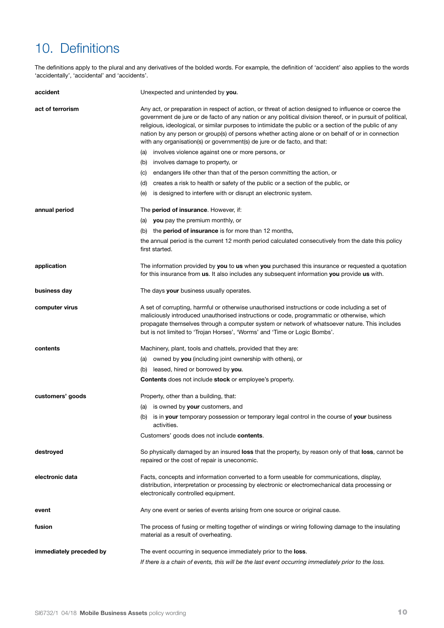## 10. Definitions

The definitions apply to the plural and any derivatives of the bolded words. For example, the definition of 'accident' also applies to the words 'accidentally', 'accidental' and 'accidents'.

| accident                | Unexpected and unintended by you.                                                                                                                                                                                                                                                                                                                                                                                                                                                                               |
|-------------------------|-----------------------------------------------------------------------------------------------------------------------------------------------------------------------------------------------------------------------------------------------------------------------------------------------------------------------------------------------------------------------------------------------------------------------------------------------------------------------------------------------------------------|
| act of terrorism        | Any act, or preparation in respect of action, or threat of action designed to influence or coerce the<br>government de jure or de facto of any nation or any political division thereof, or in pursuit of political,<br>religious, ideological, or similar purposes to intimidate the public or a section of the public of any<br>nation by any person or group(s) of persons whether acting alone or on behalf of or in connection<br>with any organisation(s) or government(s) de jure or de facto, and that: |
|                         | (a) involves violence against one or more persons, or                                                                                                                                                                                                                                                                                                                                                                                                                                                           |
|                         | involves damage to property, or<br>(b)                                                                                                                                                                                                                                                                                                                                                                                                                                                                          |
|                         | endangers life other than that of the person committing the action, or<br>(C)                                                                                                                                                                                                                                                                                                                                                                                                                                   |
|                         | (d) creates a risk to health or safety of the public or a section of the public, or                                                                                                                                                                                                                                                                                                                                                                                                                             |
|                         | is designed to interfere with or disrupt an electronic system.<br>(e)                                                                                                                                                                                                                                                                                                                                                                                                                                           |
| annual period           | The period of insurance. However, if:                                                                                                                                                                                                                                                                                                                                                                                                                                                                           |
|                         | (a) you pay the premium monthly, or                                                                                                                                                                                                                                                                                                                                                                                                                                                                             |
|                         | (b) the <b>period of insurance</b> is for more than 12 months,                                                                                                                                                                                                                                                                                                                                                                                                                                                  |
|                         | the annual period is the current 12 month period calculated consecutively from the date this policy<br>first started.                                                                                                                                                                                                                                                                                                                                                                                           |
| application             | The information provided by you to us when you purchased this insurance or requested a quotation<br>for this insurance from us. It also includes any subsequent information you provide us with.                                                                                                                                                                                                                                                                                                                |
| business day            | The days your business usually operates.                                                                                                                                                                                                                                                                                                                                                                                                                                                                        |
| computer virus          | A set of corrupting, harmful or otherwise unauthorised instructions or code including a set of<br>maliciously introduced unauthorised instructions or code, programmatic or otherwise, which<br>propagate themselves through a computer system or network of whatsoever nature. This includes<br>but is not limited to 'Trojan Horses', 'Worms' and 'Time or Logic Bombs'.                                                                                                                                      |
| contents                | Machinery, plant, tools and chattels, provided that they are:                                                                                                                                                                                                                                                                                                                                                                                                                                                   |
|                         | (a) owned by you (including joint ownership with others), or                                                                                                                                                                                                                                                                                                                                                                                                                                                    |
|                         | leased, hired or borrowed by you.<br>(b)                                                                                                                                                                                                                                                                                                                                                                                                                                                                        |
|                         | <b>Contents</b> does not include stock or employee's property.                                                                                                                                                                                                                                                                                                                                                                                                                                                  |
| customers' goods        | Property, other than a building, that:                                                                                                                                                                                                                                                                                                                                                                                                                                                                          |
|                         | (a) is owned by <b>your</b> customers, and                                                                                                                                                                                                                                                                                                                                                                                                                                                                      |
|                         | is in your temporary possession or temporary legal control in the course of your business<br>(b)<br>activities.                                                                                                                                                                                                                                                                                                                                                                                                 |
|                         | Customers' goods does not include contents.                                                                                                                                                                                                                                                                                                                                                                                                                                                                     |
| destroyed               | So physically damaged by an insured loss that the property, by reason only of that loss, cannot be<br>repaired or the cost of repair is uneconomic.                                                                                                                                                                                                                                                                                                                                                             |
| electronic data         | Facts, concepts and information converted to a form useable for communications, display,<br>distribution, interpretation or processing by electronic or electromechanical data processing or<br>electronically controlled equipment.                                                                                                                                                                                                                                                                            |
| event                   | Any one event or series of events arising from one source or original cause.                                                                                                                                                                                                                                                                                                                                                                                                                                    |
| fusion                  | The process of fusing or melting together of windings or wiring following damage to the insulating<br>material as a result of overheating.                                                                                                                                                                                                                                                                                                                                                                      |
| immediately preceded by | The event occurring in sequence immediately prior to the <b>loss</b> .                                                                                                                                                                                                                                                                                                                                                                                                                                          |
|                         | If there is a chain of events, this will be the last event occurring immediately prior to the loss.                                                                                                                                                                                                                                                                                                                                                                                                             |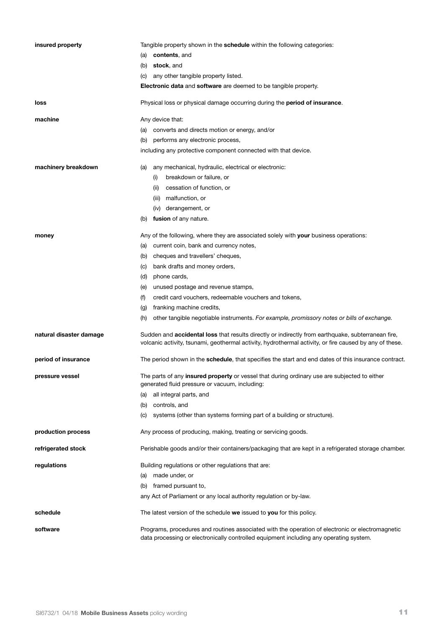| insured property        | Tangible property shown in the <b>schedule</b> within the following categories:<br>contents, and<br>(a)                                                                                                              |
|-------------------------|----------------------------------------------------------------------------------------------------------------------------------------------------------------------------------------------------------------------|
|                         | (b)<br>stock, and                                                                                                                                                                                                    |
|                         | any other tangible property listed.<br>(C)                                                                                                                                                                           |
|                         | Electronic data and software are deemed to be tangible property.                                                                                                                                                     |
|                         |                                                                                                                                                                                                                      |
| loss                    | Physical loss or physical damage occurring during the period of insurance.                                                                                                                                           |
| machine                 | Any device that:                                                                                                                                                                                                     |
|                         | converts and directs motion or energy, and/or<br>(a)                                                                                                                                                                 |
|                         | (b) performs any electronic process,                                                                                                                                                                                 |
|                         | including any protective component connected with that device.                                                                                                                                                       |
| machinery breakdown     | any mechanical, hydraulic, electrical or electronic:<br>(a)                                                                                                                                                          |
|                         | breakdown or failure, or<br>(i)                                                                                                                                                                                      |
|                         | cessation of function, or<br>(ii)                                                                                                                                                                                    |
|                         | (iii) malfunction, or                                                                                                                                                                                                |
|                         | (iv) derangement, or                                                                                                                                                                                                 |
|                         | (b) fusion of any nature.                                                                                                                                                                                            |
| money                   | Any of the following, where they are associated solely with your business operations:                                                                                                                                |
|                         | current coin, bank and currency notes,<br>(a)                                                                                                                                                                        |
|                         | cheques and travellers' cheques,<br>(b)                                                                                                                                                                              |
|                         | bank drafts and money orders,<br>(C)                                                                                                                                                                                 |
|                         | (d)<br>phone cards,                                                                                                                                                                                                  |
|                         | unused postage and revenue stamps,<br>(e)                                                                                                                                                                            |
|                         | credit card vouchers, redeemable vouchers and tokens,<br>(f)                                                                                                                                                         |
|                         | franking machine credits,<br>(g)                                                                                                                                                                                     |
|                         | other tangible negotiable instruments. For example, promissory notes or bills of exchange.<br>(h)                                                                                                                    |
| natural disaster damage | Sudden and <b>accidental loss</b> that results directly or indirectly from earthquake, subterranean fire,<br>volcanic activity, tsunami, geothermal activity, hydrothermal activity, or fire caused by any of these. |
| period of insurance     | The period shown in the schedule, that specifies the start and end dates of this insurance contract.                                                                                                                 |
| pressure vessel         | The parts of any <b>insured property</b> or vessel that during ordinary use are subjected to either<br>generated fluid pressure or vacuum, including:                                                                |
|                         | all integral parts, and<br>(a)                                                                                                                                                                                       |
|                         | (b) controls, and                                                                                                                                                                                                    |
|                         | systems (other than systems forming part of a building or structure).<br>(c)                                                                                                                                         |
| production process      | Any process of producing, making, treating or servicing goods.                                                                                                                                                       |
| refrigerated stock      | Perishable goods and/or their containers/packaging that are kept in a refrigerated storage chamber.                                                                                                                  |
| regulations             | Building regulations or other regulations that are:                                                                                                                                                                  |
|                         | made under, or<br>(a)                                                                                                                                                                                                |
|                         | (b) framed pursuant to,                                                                                                                                                                                              |
|                         | any Act of Parliament or any local authority regulation or by-law.                                                                                                                                                   |
| schedule                | The latest version of the schedule we issued to you for this policy.                                                                                                                                                 |
| software                | Programs, procedures and routines associated with the operation of electronic or electromagnetic<br>data processing or electronically controlled equipment including any operating system.                           |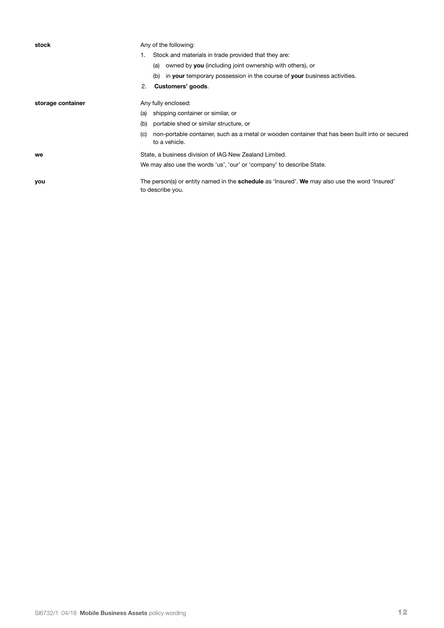**stock** Any of the following: 1. Stock and materials in trade provided that they are: (a) owned by **you** (including joint ownership with others), or (b) in **your** temporary possession in the course of **your** business activities. 2. **Customers' goods**. **storage container** Any fully enclosed: (a) shipping container or similar, or (b) portable shed or similar structure, or (c) non-portable container, such as a metal or wooden container that has been built into or secured to a vehicle. **we** State, a business division of IAG New Zealand Limited. We may also use the words 'us', 'our' or 'company' to describe State. **you** The person(s) or entity named in the **schedule** as 'Insured'. We may also use the word 'Insured' to describe you.